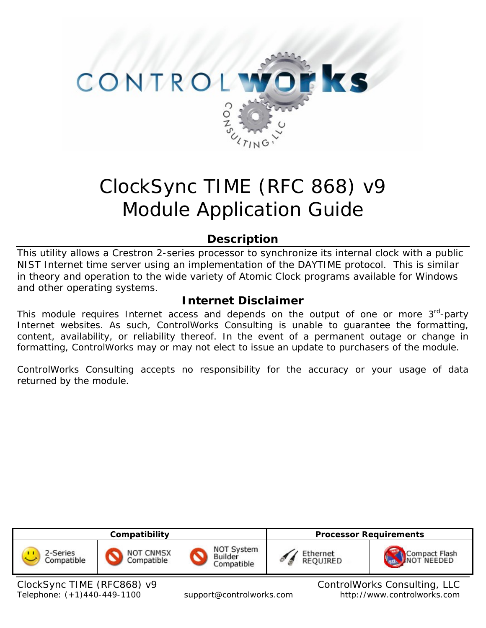

# ClockSync TIME (RFC 868) v9 Module Application Guide

# **Description**

This utility allows a Crestron 2-series processor to synchronize its internal clock with a public NIST Internet time server using an implementation of the DAYTIME protocol. This is similar in theory and operation to the wide variety of Atomic Clock programs available for Windows and other operating systems.

# **Internet Disclaimer**

This module requires Internet access and depends on the output of one or more  $3<sup>rd</sup>$ -party Internet websites. As such, ControlWorks Consulting is unable to guarantee the formatting, content, availability, or reliability thereof. In the event of a permanent outage or change in formatting, ControlWorks may or may not elect to issue an update to purchasers of the module.

ControlWorks Consulting accepts no responsibility for the accuracy or your usage of data returned by the module.



Telephone: (+1)440-449-1100 support@controlworks.com http://www.controlworks.com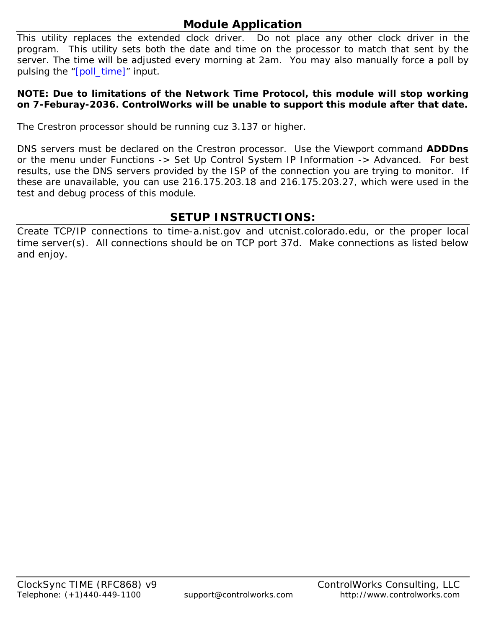# **Module Application**

This utility replaces the extended clock driver. Do not place any other clock driver in the program. This utility sets both the date and time on the processor to match that sent by the server. The time will be adjusted every morning at 2am. You may also manually force a poll by pulsing the "[poll\_time]" input.

#### **NOTE: Due to limitations of the Network Time Protocol, this module will stop working on 7-Feburay-2036. ControlWorks will be unable to support this module after that date.**

The Crestron processor should be running cuz 3.137 or higher.

DNS servers must be declared on the Crestron processor. Use the Viewport command **ADDDns**  or the menu under Functions -> Set Up Control System IP Information -> Advanced. For best results, use the DNS servers provided by the ISP of the connection you are trying to monitor. If these are unavailable, you can use 216.175.203.18 and 216.175.203.27, which were used in the test and debug process of this module.

# **SETUP INSTRUCTIONS:**

Create TCP/IP connections to time-a.nist.gov and utcnist.colorado.edu, or the proper local time server(s). All connections should be on TCP port 37d. Make connections as listed below and enjoy.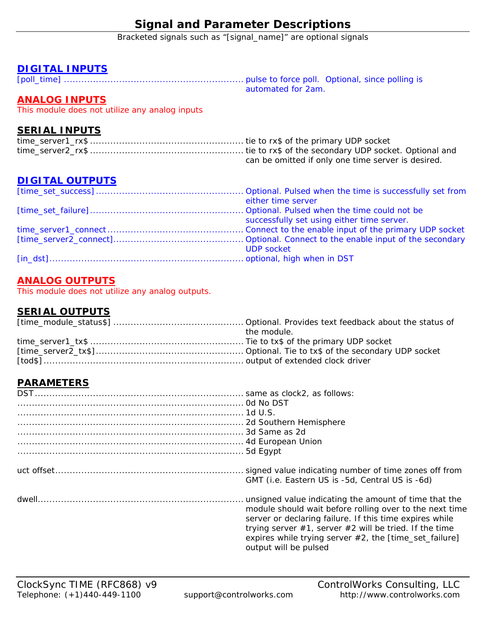# **Signal and Parameter Descriptions**

Bracketed signals such as "[signal\_name]" are optional signals

## **DIGITAL INPUTS**

[poll\_time] .............................................................. pulse to force poll. Optional, since polling is automated for 2am.

## **ANALOG INPUTS**

This module does not utilize any analog inputs

### **SERIAL INPUTS**

| can be omitted if only one time server is desired. |
|----------------------------------------------------|

## **DIGITAL OUTPUTS**

| either time server                         |
|--------------------------------------------|
|                                            |
| successfully set using either time server. |
|                                            |
|                                            |
| <b>UDP</b> socket                          |
|                                            |

## **ANALOG OUTPUTS**

This module does not utilize any analog outputs.

## **SERIAL OUTPUTS**

| the module. |
|-------------|
|             |
|             |
|             |

## **PARAMETERS**

| GMT (i.e. Eastern US is -5d, Central US is -6d)                                                                                                                                                                                                                                                                                  |
|----------------------------------------------------------------------------------------------------------------------------------------------------------------------------------------------------------------------------------------------------------------------------------------------------------------------------------|
| unsigned value indicating the amount of time that the<br>module should wait before rolling over to the next time<br>server or declaring failure. If this time expires while<br>trying server $#1$ , server $#2$ will be tried. If the time<br>expires while trying server $#2$ , the [time_set_failure]<br>output will be pulsed |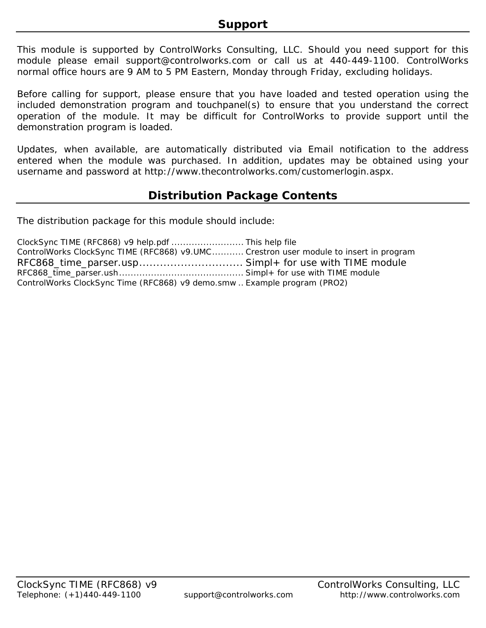This module is supported by ControlWorks Consulting, LLC. Should you need support for this module please email support@controlworks.com or call us at 440-449-1100. ControlWorks normal office hours are 9 AM to 5 PM Eastern, Monday through Friday, excluding holidays.

Before calling for support, please ensure that you have loaded and tested operation using the included demonstration program and touchpanel(s) to ensure that you understand the correct operation of the module. It may be difficult for ControlWorks to provide support until the demonstration program is loaded.

Updates, when available, are automatically distributed via Email notification to the address entered when the module was purchased. In addition, updates may be obtained using your username and password at http://www.thecontrolworks.com/customerlogin.aspx.

# **Distribution Package Contents**

The distribution package for this module should include:

| ClockSync TIME (RFC868) v9 help.pdf  This help file                                   |  |
|---------------------------------------------------------------------------------------|--|
| ControlWorks ClockSync TIME (RFC868) v9.UMC Crestron user module to insert in program |  |
|                                                                                       |  |
|                                                                                       |  |
| ControlWorks ClockSync Time (RFC868) v9 demo.smw Example program (PRO2)               |  |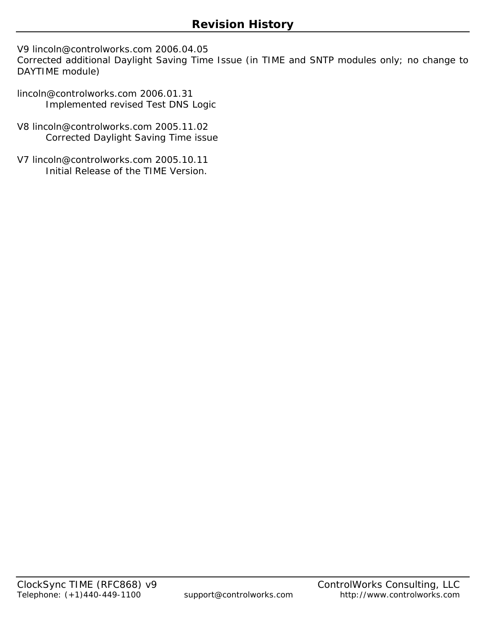V9 lincoln@controlworks.com 2006.04.05

Corrected additional Daylight Saving Time Issue (in TIME and SNTP modules only; no change to DAYTIME module)

- lincoln@controlworks.com 2006.01.31 Implemented revised Test DNS Logic
- V8 lincoln@controlworks.com 2005.11.02 Corrected Daylight Saving Time issue
- V7 lincoln@controlworks.com 2005.10.11 Initial Release of the TIME Version.